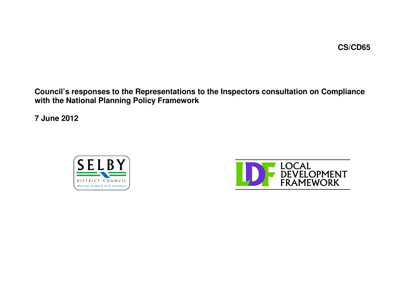**Council's responses to the Representations to the Inspectors consultation on Compliance with the National Planning Policy Framework**

**7 June 2012**



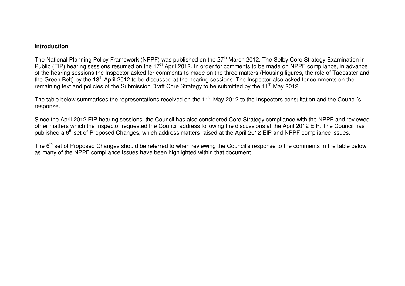## **Introduction**

The National Planning Policy Framework (NPPF) was published on the 27<sup>th</sup> March 2012. The Selby Core Strategy Examination in Public (EIP) hearing sessions resumed on the 17<sup>th</sup> April 2012. In order for comments to be made on NPPF compliance, in advance of the hearing sessions the Inspector asked for comments to made on the three matters (Housing figures, the role of Tadcaster and the Green Belt) by the 13<sup>th</sup> April 2012 to be discussed at the hearing sessions. The Inspector also asked for comments on the remaining text and policies of the Submission Draft Core Strategy to be submitted by the 11<sup>th</sup> May 2012.

The table below summarises the representations received on the 11<sup>th</sup> May 2012 to the Inspectors consultation and the Council's response.

Since the April 2012 EIP hearing sessions, the Council has also considered Core Strategy compliance with the NPPF and reviewed other matters which the Inspector requested the Council address following the discussions at the April 2012 EIP. The Council has published a 6<sup>th</sup> set of Proposed Changes, which address matters raised at the April 2012 EIP and NPPF compliance issues.

The 6<sup>th</sup> set of Proposed Changes should be referred to when reviewing the Council's response to the comments in the table below, as many of the NPPF compliance issues have been highlighted within that document.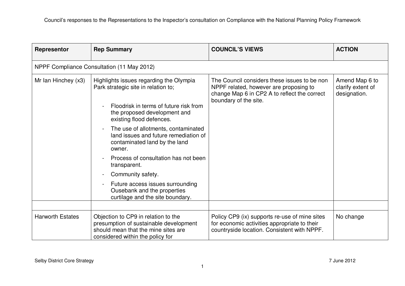| Representor             | <b>Rep Summary</b>                                                                                                                                                                   | <b>COUNCIL'S VIEWS</b>                                                                                                                                          | <b>ACTION</b>                                       |
|-------------------------|--------------------------------------------------------------------------------------------------------------------------------------------------------------------------------------|-----------------------------------------------------------------------------------------------------------------------------------------------------------------|-----------------------------------------------------|
|                         | NPPF Compliance Consultation (11 May 2012)                                                                                                                                           |                                                                                                                                                                 |                                                     |
| Mr Ian Hinchey (x3)     | Highlights issues regarding the Olympia<br>Park strategic site in relation to;<br>Floodrisk in terms of future risk from<br>the proposed development and<br>existing flood defences. | The Council considers these issues to be non<br>NPPF related, however are proposing to<br>change Map 6 in CP2 A to reflect the correct<br>boundary of the site. | Amend Map 6 to<br>clarify extent of<br>designation. |
|                         | The use of allotments, contaminated<br>land issues and future remediation of<br>contaminated land by the land<br>owner.                                                              |                                                                                                                                                                 |                                                     |
|                         | Process of consultation has not been<br>transparent.                                                                                                                                 |                                                                                                                                                                 |                                                     |
|                         | Community safety.<br>$\blacksquare$                                                                                                                                                  |                                                                                                                                                                 |                                                     |
|                         | Future access issues surrounding<br>Ousebank and the properties<br>curtilage and the site boundary.                                                                                  |                                                                                                                                                                 |                                                     |
|                         |                                                                                                                                                                                      |                                                                                                                                                                 |                                                     |
| <b>Harworth Estates</b> | Objection to CP9 in relation to the<br>presumption of sustainable development<br>should mean that the mine sites are<br>considered within the policy for                             | Policy CP9 (ix) supports re-use of mine sites<br>for economic activities appropriate to their<br>countryside location. Consistent with NPPF.                    | No change                                           |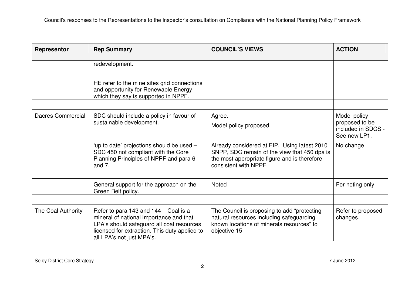| Representor        | <b>Rep Summary</b>                                                                                                                                                                                          | <b>COUNCIL'S VIEWS</b>                                                                                                                                               | <b>ACTION</b>                                        |
|--------------------|-------------------------------------------------------------------------------------------------------------------------------------------------------------------------------------------------------------|----------------------------------------------------------------------------------------------------------------------------------------------------------------------|------------------------------------------------------|
|                    | redevelopment.                                                                                                                                                                                              |                                                                                                                                                                      |                                                      |
|                    | HE refer to the mine sites grid connections<br>and opportunity for Renewable Energy<br>which they say is supported in NPPF.                                                                                 |                                                                                                                                                                      |                                                      |
|                    |                                                                                                                                                                                                             |                                                                                                                                                                      |                                                      |
| Dacres Commercial  | SDC should include a policy in favour of                                                                                                                                                                    | Agree.                                                                                                                                                               | Model policy                                         |
|                    | sustainable development.                                                                                                                                                                                    | Model policy proposed.                                                                                                                                               | proposed to be<br>included in SDCS -<br>See new LP1. |
|                    | 'up to date' projections should be used -<br>SDC 450 not compliant with the Core<br>Planning Principles of NPPF and para 6<br>and $7.$                                                                      | Already considered at EIP. Using latest 2010<br>SNPP, SDC remain of the view that 450 dpa is<br>the most appropriate figure and is therefore<br>consistent with NPPF | No change                                            |
|                    | General support for the approach on the<br>Green Belt policy.                                                                                                                                               | <b>Noted</b>                                                                                                                                                         | For noting only                                      |
|                    |                                                                                                                                                                                                             |                                                                                                                                                                      |                                                      |
| The Coal Authority | Refer to para 143 and 144 – Coal is a<br>mineral of national importance and that<br>LPA's should safeguard all coal resources<br>licensed for extraction. This duty applied to<br>all LPA's not just MPA's. | The Council is proposing to add "protecting"<br>natural resources including safeguarding<br>known locations of minerals resources" to<br>objective 15                | Refer to proposed<br>changes.                        |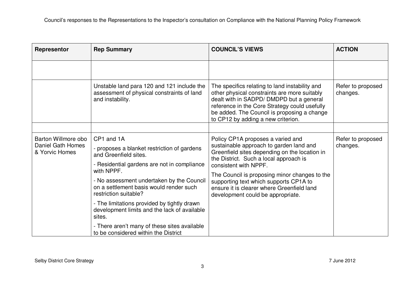| Representor                                                | <b>Rep Summary</b>                                                                                                                                                                                                                                                                                                                                                                                                        | <b>COUNCIL'S VIEWS</b>                                                                                                                                                                                                                                                                                                                                                         | <b>ACTION</b>                 |
|------------------------------------------------------------|---------------------------------------------------------------------------------------------------------------------------------------------------------------------------------------------------------------------------------------------------------------------------------------------------------------------------------------------------------------------------------------------------------------------------|--------------------------------------------------------------------------------------------------------------------------------------------------------------------------------------------------------------------------------------------------------------------------------------------------------------------------------------------------------------------------------|-------------------------------|
|                                                            |                                                                                                                                                                                                                                                                                                                                                                                                                           |                                                                                                                                                                                                                                                                                                                                                                                |                               |
|                                                            | Unstable land para 120 and 121 include the<br>assessment of physical constraints of land<br>and instability.                                                                                                                                                                                                                                                                                                              | The specifics relating to land instability and<br>other physical constraints are more suitably<br>dealt with in SADPD/ DMDPD but a general<br>reference in the Core Strategy could usefully<br>be added. The Council is proposing a change<br>to CP12 by adding a new criterion.                                                                                               | Refer to proposed<br>changes. |
|                                                            |                                                                                                                                                                                                                                                                                                                                                                                                                           |                                                                                                                                                                                                                                                                                                                                                                                |                               |
| Barton Willmore obo<br>Daniel Gath Homes<br>& Yorvic Homes | CP1 and 1A<br>- proposes a blanket restriction of gardens<br>and Greenfield sites.<br>- Residential gardens are not in compliance<br>with NPPF.<br>- No assessment undertaken by the Council<br>on a settlement basis would render such<br>restriction suitable?<br>- The limitations provided by tightly drawn<br>development limits and the lack of available<br>sites.<br>- There aren't many of these sites available | Policy CP1A proposes a varied and<br>sustainable approach to garden land and<br>Greenfield sites depending on the location in<br>the District. Such a local approach is<br>consistent with NPPF.<br>The Council is proposing minor changes to the<br>supporting text which supports CP1A to<br>ensure it is clearer where Greenfield land<br>development could be appropriate. | Refer to proposed<br>changes. |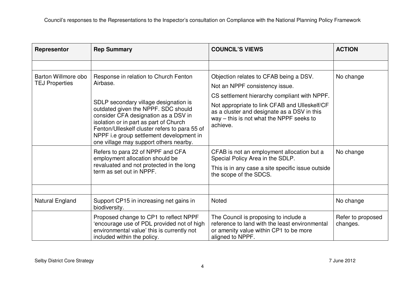| Representor                                  | <b>Rep Summary</b>                                                                                                                                                                                                                                                                                                                                         | <b>COUNCIL'S VIEWS</b>                                                                                                                                                                                                                                                           | <b>ACTION</b>                 |
|----------------------------------------------|------------------------------------------------------------------------------------------------------------------------------------------------------------------------------------------------------------------------------------------------------------------------------------------------------------------------------------------------------------|----------------------------------------------------------------------------------------------------------------------------------------------------------------------------------------------------------------------------------------------------------------------------------|-------------------------------|
|                                              |                                                                                                                                                                                                                                                                                                                                                            |                                                                                                                                                                                                                                                                                  |                               |
| Barton Willmore obo<br><b>TEJ Properties</b> | Response in relation to Church Fenton<br>Airbase.<br>SDLP secondary village designation is<br>outdated given the NPPF. SDC should<br>consider CFA designation as a DSV in<br>isolation or in part as part of Church<br>Fenton/Ulleskelf cluster refers to para 55 of<br>NPPF i.e group settlement development in<br>one village may support others nearby. | Objection relates to CFAB being a DSV.<br>Not an NPPF consistency issue.<br>CS settlement hierarchy compliant with NPPF.<br>Not appropriate to link CFAB and Ulleskelf/CF<br>as a cluster and designate as a DSV in this<br>way – this is not what the NPPF seeks to<br>achieve. | No change                     |
|                                              | Refers to para 22 of NPPF and CFA<br>employment allocation should be<br>revaluated and not protected in the long<br>term as set out in NPPF.                                                                                                                                                                                                               | CFAB is not an employment allocation but a<br>Special Policy Area in the SDLP.<br>This is in any case a site specific issue outside<br>the scope of the SDCS.                                                                                                                    | No change                     |
|                                              |                                                                                                                                                                                                                                                                                                                                                            |                                                                                                                                                                                                                                                                                  |                               |
| Natural England                              | Support CP15 in increasing net gains in<br>biodiversity.                                                                                                                                                                                                                                                                                                   | <b>Noted</b>                                                                                                                                                                                                                                                                     | No change                     |
|                                              | Proposed change to CP1 to reflect NPPF<br>'encourage use of PDL provided not of high<br>environmental value' this is currently not<br>included within the policy.                                                                                                                                                                                          | The Council is proposing to include a<br>reference to land with the least environmental<br>or amenity value within CP1 to be more<br>aligned to NPPF.                                                                                                                            | Refer to proposed<br>changes. |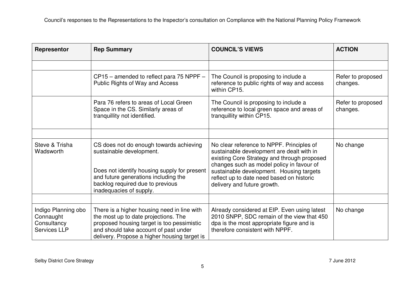| Representor                                                            | <b>Rep Summary</b>                                                                                                                                                                                                         | <b>COUNCIL'S VIEWS</b>                                                                                                                                                                                                                                                                                     | <b>ACTION</b>                 |
|------------------------------------------------------------------------|----------------------------------------------------------------------------------------------------------------------------------------------------------------------------------------------------------------------------|------------------------------------------------------------------------------------------------------------------------------------------------------------------------------------------------------------------------------------------------------------------------------------------------------------|-------------------------------|
|                                                                        |                                                                                                                                                                                                                            |                                                                                                                                                                                                                                                                                                            |                               |
|                                                                        | $CP15$ – amended to reflect para 75 NPPF –<br>Public Rights of Way and Access                                                                                                                                              | The Council is proposing to include a<br>reference to public rights of way and access<br>within CP15.                                                                                                                                                                                                      | Refer to proposed<br>changes. |
|                                                                        | Para 76 refers to areas of Local Green<br>Space in the CS. Similarly areas of<br>tranquillity not identified.                                                                                                              | The Council is proposing to include a<br>reference to local green space and areas of<br>tranquillity within CP15.                                                                                                                                                                                          | Refer to proposed<br>changes. |
|                                                                        |                                                                                                                                                                                                                            |                                                                                                                                                                                                                                                                                                            |                               |
| Steve & Trisha<br>Wadsworth                                            | CS does not do enough towards achieving<br>sustainable development.<br>Does not identify housing supply for present<br>and future generations including the<br>backlog required due to previous<br>inadequacies of supply. | No clear reference to NPPF. Principles of<br>sustainable development are dealt with in<br>existing Core Strategy and through proposed<br>changes such as model policy in favour of<br>sustainable development. Housing targets<br>reflect up to date need based on historic<br>delivery and future growth. | No change                     |
|                                                                        |                                                                                                                                                                                                                            |                                                                                                                                                                                                                                                                                                            |                               |
| Indigo Planning obo<br>Connaught<br>Consultancy<br><b>Services LLP</b> | There is a higher housing need in line with<br>the most up to date projections. The<br>proposed housing target is too pessimistic<br>and should take account of past under<br>delivery. Propose a higher housing target is | Already considered at EIP. Even using latest<br>2010 SNPP, SDC remain of the view that 450<br>dpa is the most appropriate figure and is<br>therefore consistent with NPPF.                                                                                                                                 | No change                     |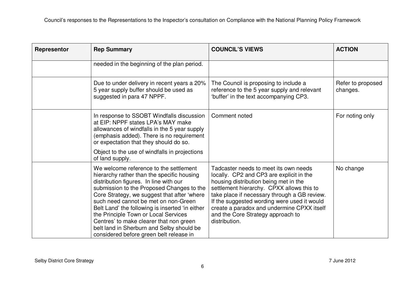| Representor | <b>Rep Summary</b>                                                                                                                                                                                                                                                                                                                                                                                                                                                                               | <b>COUNCIL'S VIEWS</b>                                                                                                                                                                                                                                                                                                                                                     | <b>ACTION</b>                 |
|-------------|--------------------------------------------------------------------------------------------------------------------------------------------------------------------------------------------------------------------------------------------------------------------------------------------------------------------------------------------------------------------------------------------------------------------------------------------------------------------------------------------------|----------------------------------------------------------------------------------------------------------------------------------------------------------------------------------------------------------------------------------------------------------------------------------------------------------------------------------------------------------------------------|-------------------------------|
|             | needed in the beginning of the plan period.                                                                                                                                                                                                                                                                                                                                                                                                                                                      |                                                                                                                                                                                                                                                                                                                                                                            |                               |
|             | Due to under delivery in recent years a 20%<br>5 year supply buffer should be used as<br>suggested in para 47 NPPF.                                                                                                                                                                                                                                                                                                                                                                              | The Council is proposing to include a<br>reference to the 5 year supply and relevant<br>'buffer' in the text accompanying CP3.                                                                                                                                                                                                                                             | Refer to proposed<br>changes. |
|             | In response to SSOBT Windfalls discussion<br>at EIP: NPPF states LPA's MAY make<br>allowances of windfalls in the 5 year supply<br>(emphasis added). There is no requirement<br>or expectation that they should do so.                                                                                                                                                                                                                                                                           | Comment noted                                                                                                                                                                                                                                                                                                                                                              | For noting only               |
|             | Object to the use of windfalls in projections<br>of land supply.                                                                                                                                                                                                                                                                                                                                                                                                                                 |                                                                                                                                                                                                                                                                                                                                                                            |                               |
|             | We welcome reference to the settlement<br>hierarchy rather than the specific housing<br>distribution figures. In line with our<br>submission to the Proposed Changes to the<br>Core Strategy, we suggest that after 'where<br>such need cannot be met on non-Green<br>Belt Land' the following is inserted 'in either<br>the Principle Town or Local Services<br>Centres' to make clearer that non green<br>belt land in Sherburn and Selby should be<br>considered before green belt release in | Tadcaster needs to meet its own needs<br>locally. CP2 and CP3 are explicit in the<br>housing distribution being met in the<br>settlement hierarchy. CPXX allows this to<br>take place if necessary through a GB review.<br>If the suggested wording were used it would<br>create a paradox and undermine CPXX itself<br>and the Core Strategy approach to<br>distribution. | No change                     |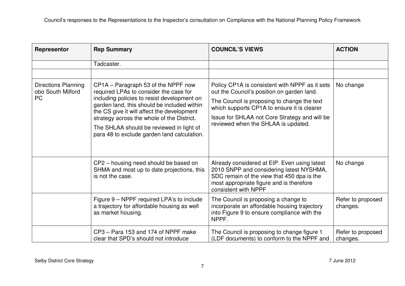| Representor                                                  | <b>Rep Summary</b>                                                                                                                                                                                                                                                                                                                                                 | <b>COUNCIL'S VIEWS</b>                                                                                                                                                                                                                                                             | <b>ACTION</b>                 |
|--------------------------------------------------------------|--------------------------------------------------------------------------------------------------------------------------------------------------------------------------------------------------------------------------------------------------------------------------------------------------------------------------------------------------------------------|------------------------------------------------------------------------------------------------------------------------------------------------------------------------------------------------------------------------------------------------------------------------------------|-------------------------------|
|                                                              | Tadcaster.                                                                                                                                                                                                                                                                                                                                                         |                                                                                                                                                                                                                                                                                    |                               |
|                                                              |                                                                                                                                                                                                                                                                                                                                                                    |                                                                                                                                                                                                                                                                                    |                               |
| <b>Directions Planning</b><br>obo South Milford<br><b>PC</b> | CP1A - Paragraph 53 of the NPPF now<br>required LPAs to consider the case for<br>including policies to resist development on<br>garden land, this should be included within<br>the CS give it will affect the development<br>strategy across the whole of the District.<br>The SHLAA should be reviewed in light of<br>para 48 to exclude garden land calculation. | Policy CP1A is consistent with NPPF as it sets<br>out the Council's position on garden land.<br>The Council is proposing to change the text<br>which supports CP1A to ensure it is clearer<br>Issue for SHLAA not Core Strategy and will be<br>reviewed when the SHLAA is updated. | No change                     |
|                                                              | CP2 - housing need should be based on<br>SHMA and most up to date projections, this<br>is not the case.                                                                                                                                                                                                                                                            | Already considered at EIP. Even using latest<br>2010 SNPP and considering latest NYSHMA,<br>SDC remain of the view that 450 dpa is the<br>most appropriate figure and is therefore<br>consistent with NPPF                                                                         | No change                     |
|                                                              | Figure 9 – NPPF required LPA's to include<br>a trajectory for affordable housing as well<br>as market housing.                                                                                                                                                                                                                                                     | The Council is proposing a change to<br>incorporate an affordable housing trajectory<br>into Figure 9 to ensure compliance with the<br>NPPF.                                                                                                                                       | Refer to proposed<br>changes. |
|                                                              | CP3 - Para 153 and 174 of NPPF make<br>clear that SPD's should not introduce                                                                                                                                                                                                                                                                                       | The Council is proposing to change figure 1<br>(LDF documents) to conform to the NPPF and                                                                                                                                                                                          | Refer to proposed<br>changes. |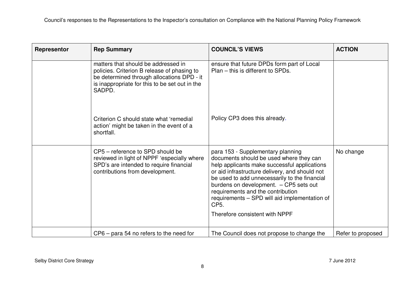| Representor | <b>Rep Summary</b>                                                                                                                                                                           | <b>COUNCIL'S VIEWS</b>                                                                                                                                                                                                                                                                                                                                                                                                 | <b>ACTION</b>     |
|-------------|----------------------------------------------------------------------------------------------------------------------------------------------------------------------------------------------|------------------------------------------------------------------------------------------------------------------------------------------------------------------------------------------------------------------------------------------------------------------------------------------------------------------------------------------------------------------------------------------------------------------------|-------------------|
|             | matters that should be addressed in<br>policies. Criterion B release of phasing to<br>be determined through allocations DPD - it<br>is inappropriate for this to be set out in the<br>SADPD. | ensure that future DPDs form part of Local<br>Plan – this is different to SPDs.                                                                                                                                                                                                                                                                                                                                        |                   |
|             | Criterion C should state what 'remedial<br>action' might be taken in the event of a<br>shortfall.                                                                                            | Policy CP3 does this already.                                                                                                                                                                                                                                                                                                                                                                                          |                   |
|             | CP5 - reference to SPD should be<br>reviewed in light of NPPF 'especially where<br>SPD's are intended to require financial<br>contributions from development.                                | para 153 - Supplementary planning<br>documents should be used where they can<br>help applicants make successful applications<br>or aid infrastructure delivery, and should not<br>be used to add unnecessarily to the financial<br>burdens on development. - CP5 sets out<br>requirements and the contribution<br>requirements - SPD will aid implementation of<br>CP <sub>5</sub> .<br>Therefore consistent with NPPF | No change         |
|             | CP6 – para 54 no refers to the need for                                                                                                                                                      | The Council does not propose to change the                                                                                                                                                                                                                                                                                                                                                                             | Refer to proposed |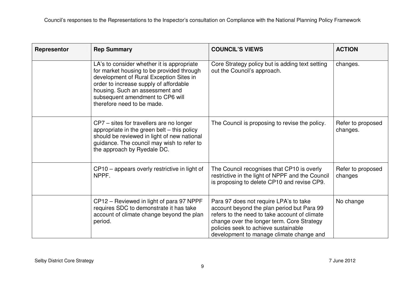| Representor | <b>Rep Summary</b>                                                                                                                                                                                                                                                                | <b>COUNCIL'S VIEWS</b>                                                                                                                                                                                                                                                  | <b>ACTION</b>                 |
|-------------|-----------------------------------------------------------------------------------------------------------------------------------------------------------------------------------------------------------------------------------------------------------------------------------|-------------------------------------------------------------------------------------------------------------------------------------------------------------------------------------------------------------------------------------------------------------------------|-------------------------------|
|             | LA's to consider whether it is appropriate<br>for market housing to be provided through<br>development of Rural Exception Sites in<br>order to increase supply of affordable<br>housing. Such an assessment and<br>subsequent amendment to CP6 will<br>therefore need to be made. | Core Strategy policy but is adding text setting<br>out the Council's approach.                                                                                                                                                                                          | changes.                      |
|             | CP7 - sites for travellers are no longer<br>appropriate in the green belt - this policy<br>should be reviewed in light of new national<br>guidance. The council may wish to refer to<br>the approach by Ryedale DC.                                                               | The Council is proposing to revise the policy.                                                                                                                                                                                                                          | Refer to proposed<br>changes. |
|             | CP10 – appears overly restrictive in light of<br>NPPF.                                                                                                                                                                                                                            | The Council recognises that CP10 is overly<br>restrictive in the light of NPPF and the Council<br>is proposing to delete CP10 and revise CP9.                                                                                                                           | Refer to proposed<br>changes  |
|             | CP12 – Reviewed in light of para 97 NPPF<br>requires SDC to demonstrate it has take<br>account of climate change beyond the plan<br>period.                                                                                                                                       | Para 97 does not require LPA's to take<br>account beyond the plan period but Para 99<br>refers to the need to take account of climate<br>change over the longer term. Core Strategy<br>policies seek to achieve sustainable<br>development to manage climate change and | No change                     |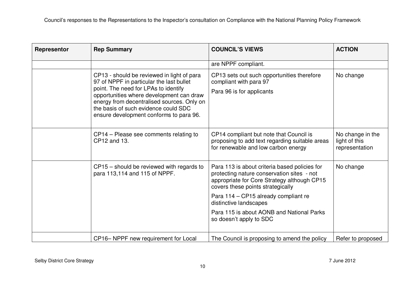| Representor | <b>Rep Summary</b>                                                                                                                                                                                                                                                                                          | <b>COUNCIL'S VIEWS</b>                                                                                                                                                          | <b>ACTION</b>                                       |
|-------------|-------------------------------------------------------------------------------------------------------------------------------------------------------------------------------------------------------------------------------------------------------------------------------------------------------------|---------------------------------------------------------------------------------------------------------------------------------------------------------------------------------|-----------------------------------------------------|
|             |                                                                                                                                                                                                                                                                                                             | are NPPF compliant.                                                                                                                                                             |                                                     |
|             | CP13 - should be reviewed in light of para<br>97 of NPPF in particular the last bullet<br>point. The need for LPAs to identify<br>opportunities where development can draw<br>energy from decentralised sources. Only on<br>the basis of such evidence could SDC<br>ensure development conforms to para 96. | CP13 sets out such opportunities therefore<br>compliant with para 97<br>Para 96 is for applicants                                                                               | No change                                           |
|             | CP14 – Please see comments relating to<br>CP12 and 13.                                                                                                                                                                                                                                                      | CP14 compliant but note that Council is<br>proposing to add text regarding suitable areas<br>for renewable and low carbon energy                                                | No change in the<br>light of this<br>representation |
|             | CP15 – should be reviewed with regards to<br>para 113,114 and 115 of NPPF.                                                                                                                                                                                                                                  | Para 113 is about criteria based policies for<br>protecting nature conservation sites - not<br>appropriate for Core Strategy although CP15<br>covers these points strategically | No change                                           |
|             |                                                                                                                                                                                                                                                                                                             | Para 114 - CP15 already compliant re<br>distinctive landscapes                                                                                                                  |                                                     |
|             |                                                                                                                                                                                                                                                                                                             | Para 115 is about AONB and National Parks<br>so doesn't apply to SDC                                                                                                            |                                                     |
|             | CP16– NPPF new requirement for Local                                                                                                                                                                                                                                                                        | The Council is proposing to amend the policy                                                                                                                                    | Refer to proposed                                   |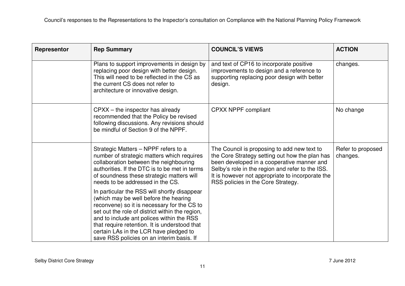| Representor | <b>Rep Summary</b>                                                                                                                                                                                                                                                                                                                                                           | <b>COUNCIL'S VIEWS</b>                                                                                                                                                                                                                                                                    | <b>ACTION</b>                 |
|-------------|------------------------------------------------------------------------------------------------------------------------------------------------------------------------------------------------------------------------------------------------------------------------------------------------------------------------------------------------------------------------------|-------------------------------------------------------------------------------------------------------------------------------------------------------------------------------------------------------------------------------------------------------------------------------------------|-------------------------------|
|             | Plans to support improvements in design by<br>replacing poor design with better design.<br>This will need to be reflected in the CS as<br>the current CS does not refer to<br>architecture or innovative design.                                                                                                                                                             | and text of CP16 to incorporate positive<br>improvements to design and a reference to<br>supporting replacing poor design with better<br>design.                                                                                                                                          | changes.                      |
|             | $CPXX -$ the inspector has already<br>recommended that the Policy be revised<br>following discussions. Any revisions should<br>be mindful of Section 9 of the NPPF.                                                                                                                                                                                                          | <b>CPXX NPPF compliant</b>                                                                                                                                                                                                                                                                | No change                     |
|             | Strategic Matters - NPPF refers to a<br>number of strategic matters which requires<br>collaboration between the neighbouring<br>authorities. If the DTC is to be met in terms<br>of soundness these strategic matters will<br>needs to be addressed in the CS.                                                                                                               | The Council is proposing to add new text to<br>the Core Strategy setting out how the plan has<br>been developed in a cooperative manner and<br>Selby's role in the region and refer to the ISS.<br>It is however not appropriate to incorporate the<br>RSS policies in the Core Strategy. | Refer to proposed<br>changes. |
|             | In particular the RSS will shortly disappear<br>(which may be well before the hearing<br>reconvene) so it is necessary for the CS to<br>set out the role of district within the region,<br>and to include ant polices within the RSS<br>that require retention. It is understood that<br>certain LAs in the LCR have pledged to<br>save RSS policies on an interim basis. If |                                                                                                                                                                                                                                                                                           |                               |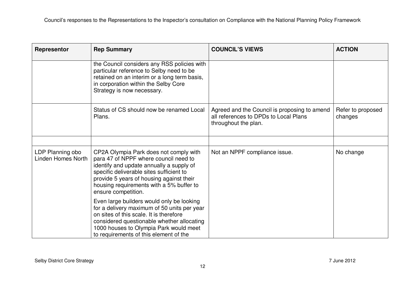| Representor                                   | <b>Rep Summary</b>                                                                                                                                                                                                                                                                     | <b>COUNCIL'S VIEWS</b>                                                                                        | <b>ACTION</b>                |
|-----------------------------------------------|----------------------------------------------------------------------------------------------------------------------------------------------------------------------------------------------------------------------------------------------------------------------------------------|---------------------------------------------------------------------------------------------------------------|------------------------------|
|                                               | the Council considers any RSS policies with<br>particular reference to Selby need to be<br>retained on an interim or a long term basis,<br>in corporation within the Selby Core<br>Strategy is now necessary.                                                                          |                                                                                                               |                              |
|                                               | Status of CS should now be renamed Local<br>Plans.                                                                                                                                                                                                                                     | Agreed and the Council is proposing to amend<br>all references to DPDs to Local Plans<br>throughout the plan. | Refer to proposed<br>changes |
|                                               |                                                                                                                                                                                                                                                                                        |                                                                                                               |                              |
| LDP Planning obo<br><b>Linden Homes North</b> | CP2A Olympia Park does not comply with<br>para 47 of NPPF where council need to<br>identify and update annually a supply of<br>specific deliverable sites sufficient to<br>provide 5 years of housing against their<br>housing requirements with a 5% buffer to<br>ensure competition. | Not an NPPF compliance issue.                                                                                 | No change                    |
|                                               | Even large builders would only be looking<br>for a delivery maximum of 50 units per year<br>on sites of this scale. It is therefore<br>considered questionable whether allocating<br>1000 houses to Olympia Park would meet<br>to requirements of this element of the                  |                                                                                                               |                              |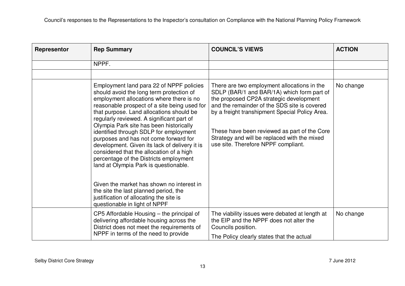| Representor | <b>Rep Summary</b>                                                                                                                                                                                                                                                                                                                                                                                                                                                                                                                                                                                                                                                                                                       | <b>COUNCIL'S VIEWS</b>                                                                                                                                                                                                                                                                                                                                                        | <b>ACTION</b> |
|-------------|--------------------------------------------------------------------------------------------------------------------------------------------------------------------------------------------------------------------------------------------------------------------------------------------------------------------------------------------------------------------------------------------------------------------------------------------------------------------------------------------------------------------------------------------------------------------------------------------------------------------------------------------------------------------------------------------------------------------------|-------------------------------------------------------------------------------------------------------------------------------------------------------------------------------------------------------------------------------------------------------------------------------------------------------------------------------------------------------------------------------|---------------|
|             | NPPF.                                                                                                                                                                                                                                                                                                                                                                                                                                                                                                                                                                                                                                                                                                                    |                                                                                                                                                                                                                                                                                                                                                                               |               |
|             |                                                                                                                                                                                                                                                                                                                                                                                                                                                                                                                                                                                                                                                                                                                          |                                                                                                                                                                                                                                                                                                                                                                               |               |
|             | Employment land para 22 of NPPF policies<br>should avoid the long term protection of<br>employment allocations where there is no<br>reasonable prospect of a site being used for<br>that purpose. Land allocations should be<br>regularly reviewed. A significant part of<br>Olympia Park site has been historically<br>identified through SDLP for employment<br>purposes and has not come forward for<br>development. Given its lack of delivery it is<br>considered that the allocation of a high<br>percentage of the Districts employment<br>land at Olympia Park is questionable.<br>Given the market has shown no interest in<br>the site the last planned period, the<br>justification of allocating the site is | There are two employment allocations in the<br>SDLP (BAR/1 and BAR/1A) which form part of<br>the proposed CP2A strategic development<br>and the remainder of the SDS site is covered<br>by a freight transhipment Special Policy Area.<br>These have been reviewed as part of the Core<br>Strategy and will be replaced with the mixed<br>use site. Therefore NPPF compliant. | No change     |
|             | questionable in light of NPPF                                                                                                                                                                                                                                                                                                                                                                                                                                                                                                                                                                                                                                                                                            |                                                                                                                                                                                                                                                                                                                                                                               |               |
|             | CP5 Affordable Housing – the principal of<br>delivering affordable housing across the<br>District does not meet the requirements of<br>NPPF in terms of the need to provide                                                                                                                                                                                                                                                                                                                                                                                                                                                                                                                                              | The viability issues were debated at length at<br>the EIP and the NPPF does not alter the<br>Councils position.                                                                                                                                                                                                                                                               | No change     |
|             |                                                                                                                                                                                                                                                                                                                                                                                                                                                                                                                                                                                                                                                                                                                          | The Policy clearly states that the actual                                                                                                                                                                                                                                                                                                                                     |               |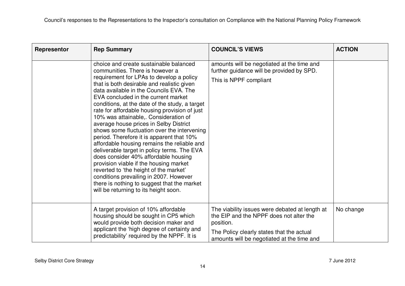| Representor | <b>Rep Summary</b>                                                                                                                                                                                                                                                                                                                                                                                                                                                                                                                                                                                                                                                                                                                                                                                                                                                                                  | <b>COUNCIL'S VIEWS</b>                                                                                                                                                                            | <b>ACTION</b> |
|-------------|-----------------------------------------------------------------------------------------------------------------------------------------------------------------------------------------------------------------------------------------------------------------------------------------------------------------------------------------------------------------------------------------------------------------------------------------------------------------------------------------------------------------------------------------------------------------------------------------------------------------------------------------------------------------------------------------------------------------------------------------------------------------------------------------------------------------------------------------------------------------------------------------------------|---------------------------------------------------------------------------------------------------------------------------------------------------------------------------------------------------|---------------|
|             | choice and create sustainable balanced<br>communities. There is however a<br>requirement for LPAs to develop a policy<br>that is both desirable and realistic given<br>data available in the Councils EVA. The<br>EVA concluded in the current market<br>conditions, at the date of the study, a target<br>rate for affordable housing provision of just<br>10% was attainable,. Consideration of<br>average house prices in Selby District<br>shows some fluctuation over the intervening<br>period. Therefore it is apparent that 10%<br>affordable housing remains the reliable and<br>deliverable target in policy terms. The EVA<br>does consider 40% affordable housing<br>provision viable if the housing market<br>reverted to 'the height of the market'<br>conditions prevailing in 2007. However<br>there is nothing to suggest that the market<br>will be returning to its height soon. | amounts will be negotiated at the time and<br>further guidance will be provided by SPD.<br>This is NPPF compliant                                                                                 |               |
|             | A target provision of 10% affordable<br>housing should be sought in CP5 which<br>would provide both decision maker and<br>applicant the 'high degree of certainty and<br>predictability' required by the NPPF. It is                                                                                                                                                                                                                                                                                                                                                                                                                                                                                                                                                                                                                                                                                | The viability issues were debated at length at<br>the EIP and the NPPF does not alter the<br>position.<br>The Policy clearly states that the actual<br>amounts will be negotiated at the time and | No change     |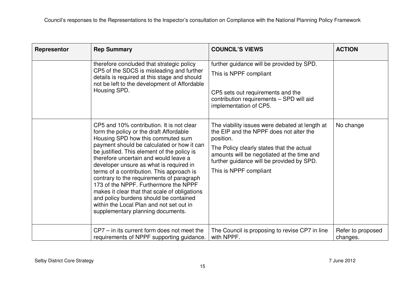| Representor | <b>Rep Summary</b>                                                                                                                                                                                                                                                                                                                                                                                                                                                                                                                                                                                                        | <b>COUNCIL'S VIEWS</b>                                                                                                                                                                                                                                                   | <b>ACTION</b>                 |
|-------------|---------------------------------------------------------------------------------------------------------------------------------------------------------------------------------------------------------------------------------------------------------------------------------------------------------------------------------------------------------------------------------------------------------------------------------------------------------------------------------------------------------------------------------------------------------------------------------------------------------------------------|--------------------------------------------------------------------------------------------------------------------------------------------------------------------------------------------------------------------------------------------------------------------------|-------------------------------|
|             | therefore concluded that strategic policy<br>CP5 of the SDCS is misleading and further<br>details is required at this stage and should<br>not be left to the development of Affordable<br>Housing SPD.                                                                                                                                                                                                                                                                                                                                                                                                                    | further guidance will be provided by SPD.<br>This is NPPF compliant<br>CP5 sets out requirements and the<br>contribution requirements - SPD will aid<br>implementation of CP5.                                                                                           |                               |
|             | CP5 and 10% contribution. It is not clear<br>form the policy or the draft Affordable<br>Housing SPD how this commuted sum<br>payment should be calculated or how it can<br>be justified. This element of the policy is<br>therefore uncertain and would leave a<br>developer unsure as what is required in<br>terms of a contribution. This approach is<br>contrary to the requirements of paragraph<br>173 of the NPPF. Furthermore the NPPF<br>makes it clear that that scale of obligations<br>and policy burdens should be contained<br>within the Local Plan and not set out in<br>supplementary planning documents. | The viability issues were debated at length at<br>the EIP and the NPPF does not alter the<br>position.<br>The Policy clearly states that the actual<br>amounts will be negotiated at the time and<br>further guidance will be provided by SPD.<br>This is NPPF compliant | No change                     |
|             | $CP7 - in$ its current form does not meet the<br>requirements of NPPF supporting guidance.                                                                                                                                                                                                                                                                                                                                                                                                                                                                                                                                | The Council is proposing to revise CP7 in line<br>with NPPF.                                                                                                                                                                                                             | Refer to proposed<br>changes. |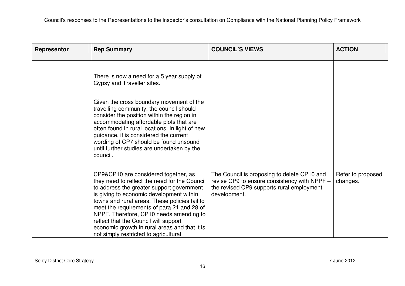| Representor | <b>Rep Summary</b>                                                                                                                                                                                                                                                                                                                                                                                                                                          | <b>COUNCIL'S VIEWS</b>                                                                                                                                   | <b>ACTION</b>                 |
|-------------|-------------------------------------------------------------------------------------------------------------------------------------------------------------------------------------------------------------------------------------------------------------------------------------------------------------------------------------------------------------------------------------------------------------------------------------------------------------|----------------------------------------------------------------------------------------------------------------------------------------------------------|-------------------------------|
|             | There is now a need for a 5 year supply of<br>Gypsy and Traveller sites.                                                                                                                                                                                                                                                                                                                                                                                    |                                                                                                                                                          |                               |
|             | Given the cross boundary movement of the<br>travelling community, the council should<br>consider the position within the region in<br>accommodating affordable plots that are<br>often found in rural locations. In light of new<br>guidance, it is considered the current<br>wording of CP7 should be found unsound<br>until further studies are undertaken by the<br>council.                                                                             |                                                                                                                                                          |                               |
|             | CP9&CP10 are considered together, as<br>they need to reflect the need for the Council<br>to address the greater support government<br>is giving to economic development within<br>towns and rural areas. These policies fail to<br>meet the requirements of para 21 and 28 of<br>NPPF. Therefore, CP10 needs amending to<br>reflect that the Council will support<br>economic growth in rural areas and that it is<br>not simply restricted to agricultural | The Council is proposing to delete CP10 and<br>revise CP9 to ensure consistency with NPPF -<br>the revised CP9 supports rural employment<br>development. | Refer to proposed<br>changes. |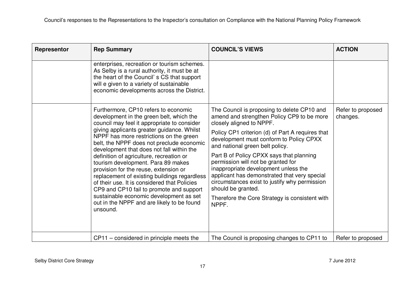| Representor | <b>Rep Summary</b>                                                                                                                                                                                                                                                                                                                                                                                                                                                                                                                                                                                                                                                                             | <b>COUNCIL'S VIEWS</b>                                                                                                                                                                                                                                                                                                                                                                                                                                                                                                                                              | <b>ACTION</b>                 |
|-------------|------------------------------------------------------------------------------------------------------------------------------------------------------------------------------------------------------------------------------------------------------------------------------------------------------------------------------------------------------------------------------------------------------------------------------------------------------------------------------------------------------------------------------------------------------------------------------------------------------------------------------------------------------------------------------------------------|---------------------------------------------------------------------------------------------------------------------------------------------------------------------------------------------------------------------------------------------------------------------------------------------------------------------------------------------------------------------------------------------------------------------------------------------------------------------------------------------------------------------------------------------------------------------|-------------------------------|
|             | enterprises, recreation or tourism schemes.<br>As Selby is a rural authority, it must be at<br>the heart of the Council's CS that support<br>will e given to a variety of sustainable<br>economic developments across the District.                                                                                                                                                                                                                                                                                                                                                                                                                                                            |                                                                                                                                                                                                                                                                                                                                                                                                                                                                                                                                                                     |                               |
|             | Furthermore, CP10 refers to economic<br>development in the green belt, which the<br>council may feel it appropriate to consider<br>giving applicants greater guidance. Whilst<br>NPPF has more restrictions on the green<br>belt, the NPPF does not preclude economic<br>development that does not fall within the<br>definition of agriculture, recreation or<br>tourism development. Para 89 makes<br>provision for the reuse, extension or<br>replacement of existing buildings regardless<br>of their use. It is considered that Policies<br>CP9 and CP10 fail to promote and support<br>sustainable economic development as set<br>out in the NPPF and are likely to be found<br>unsound. | The Council is proposing to delete CP10 and<br>amend and strengthen Policy CP9 to be more<br>closely aligned to NPPF.<br>Policy CP1 criterion (d) of Part A requires that<br>development must conform to Policy CPXX<br>and national green belt policy.<br>Part B of Policy CPXX says that planning<br>permission will not be granted for<br>inappropriate development unless the<br>applicant has demonstrated that very special<br>circumstances exist to justify why permission<br>should be granted.<br>Therefore the Core Strategy is consistent with<br>NPPF. | Refer to proposed<br>changes. |
|             | $CP11$ – considered in principle meets the                                                                                                                                                                                                                                                                                                                                                                                                                                                                                                                                                                                                                                                     | The Council is proposing changes to CP11 to                                                                                                                                                                                                                                                                                                                                                                                                                                                                                                                         | Refer to proposed             |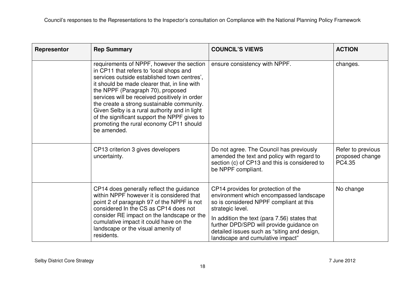| Representor | <b>Rep Summary</b>                                                                                                                                                                                                                                                                                                                                                                                                                                                                 | <b>COUNCIL'S VIEWS</b>                                                                                                                                                                                                                                                                                                       | <b>ACTION</b>                                  |
|-------------|------------------------------------------------------------------------------------------------------------------------------------------------------------------------------------------------------------------------------------------------------------------------------------------------------------------------------------------------------------------------------------------------------------------------------------------------------------------------------------|------------------------------------------------------------------------------------------------------------------------------------------------------------------------------------------------------------------------------------------------------------------------------------------------------------------------------|------------------------------------------------|
|             | requirements of NPPF, however the section<br>in CP11 that refers to 'local shops and<br>services outside established town centres',<br>it should be made clearer that, in line with<br>the NPPF (Paragraph 70), proposed<br>services will be received positively in order<br>the create a strong sustainable community.<br>Given Selby is a rural authority and in light<br>of the significant support the NPPF gives to<br>promoting the rural economy CP11 should<br>be amended. | ensure consistency with NPPF.                                                                                                                                                                                                                                                                                                | changes.                                       |
|             | CP13 criterion 3 gives developers<br>uncertainty.                                                                                                                                                                                                                                                                                                                                                                                                                                  | Do not agree. The Council has previously<br>amended the text and policy with regard to<br>section (c) of CP13 and this is considered to<br>be NPPF compliant.                                                                                                                                                                | Refer to previous<br>proposed change<br>PC4.35 |
|             | CP14 does generally reflect the guidance<br>within NPPF however it is considered that<br>point 2 of paragraph 97 of the NPPF is not<br>considered In the CS as CP14 does not<br>consider RE impact on the landscape or the<br>cumulative impact it could have on the<br>landscape or the visual amenity of<br>residents.                                                                                                                                                           | CP14 provides for protection of the<br>environment which encompassed landscape<br>so is considered NPPF compliant at this<br>strategic level.<br>In addition the text (para 7.56) states that<br>further DPD/SPD will provide guidance on<br>detailed issues such as "siting and design,<br>landscape and cumulative impact" | No change                                      |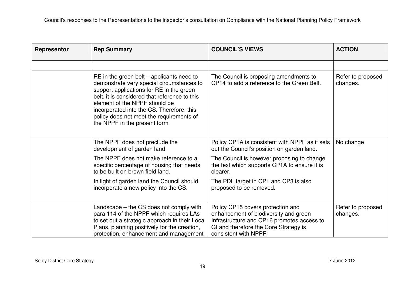| Representor | <b>Rep Summary</b>                                                                                                                                                                                                                                                                                                                               | <b>COUNCIL'S VIEWS</b>                                                                                                                                                                     | <b>ACTION</b>                 |
|-------------|--------------------------------------------------------------------------------------------------------------------------------------------------------------------------------------------------------------------------------------------------------------------------------------------------------------------------------------------------|--------------------------------------------------------------------------------------------------------------------------------------------------------------------------------------------|-------------------------------|
|             |                                                                                                                                                                                                                                                                                                                                                  |                                                                                                                                                                                            |                               |
|             | $RE$ in the green belt – applicants need to<br>demonstrate very special circumstances to<br>support applications for RE in the green<br>belt, it is considered that reference to this<br>element of the NPPF should be<br>incorporated into the CS. Therefore, this<br>policy does not meet the requirements of<br>the NPPF in the present form. | The Council is proposing amendments to<br>CP14 to add a reference to the Green Belt.                                                                                                       | Refer to proposed<br>changes. |
|             | The NPPF does not preclude the<br>development of garden land.                                                                                                                                                                                                                                                                                    | Policy CP1A is consistent with NPPF as it sets<br>out the Council's position on garden land.                                                                                               | No change                     |
|             | The NPPF does not make reference to a<br>specific percentage of housing that needs<br>to be built on brown field land.                                                                                                                                                                                                                           | The Council is however proposing to change<br>the text which supports CP1A to ensure it is<br>clearer.                                                                                     |                               |
|             | In light of garden land the Council should<br>incorporate a new policy into the CS.                                                                                                                                                                                                                                                              | The PDL target in CP1 and CP3 is also<br>proposed to be removed.                                                                                                                           |                               |
|             | Landscape – the CS does not comply with<br>para 114 of the NPPF which requires LAs<br>to set out a strategic approach in their Local<br>Plans, planning positively for the creation,<br>protection, enhancement and management                                                                                                                   | Policy CP15 covers protection and<br>enhancement of biodiversity and green<br>Infrastructure and CP16 promotes access to<br>GI and therefore the Core Strategy is<br>consistent with NPPF. | Refer to proposed<br>changes. |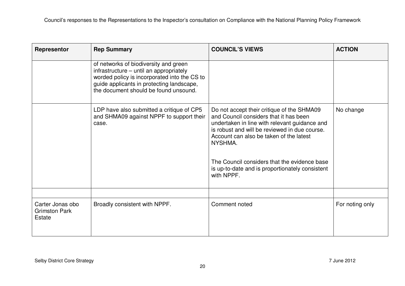| Representor                                        | <b>Rep Summary</b>                                                                                                                                                                                                     | <b>COUNCIL'S VIEWS</b>                                                                                                                                                                                                                                                                                                                                        | <b>ACTION</b>   |
|----------------------------------------------------|------------------------------------------------------------------------------------------------------------------------------------------------------------------------------------------------------------------------|---------------------------------------------------------------------------------------------------------------------------------------------------------------------------------------------------------------------------------------------------------------------------------------------------------------------------------------------------------------|-----------------|
|                                                    | of networks of biodiversity and green<br>infrastructure - until an appropriately<br>worded policy is incorporated into the CS to<br>guide applicants in protecting landscape,<br>the document should be found unsound. |                                                                                                                                                                                                                                                                                                                                                               |                 |
|                                                    | LDP have also submitted a critique of CP5<br>and SHMA09 against NPPF to support their<br>case.                                                                                                                         | Do not accept their critique of the SHMA09<br>and Council considers that it has been<br>undertaken in line with relevant guidance and<br>is robust and will be reviewed in due course.<br>Account can also be taken of the latest<br>NYSHMA.<br>The Council considers that the evidence base<br>is up-to-date and is proportionately consistent<br>with NPPF. | No change       |
| Carter Jonas obo<br><b>Grimston Park</b><br>Estate | Broadly consistent with NPPF.                                                                                                                                                                                          | Comment noted                                                                                                                                                                                                                                                                                                                                                 | For noting only |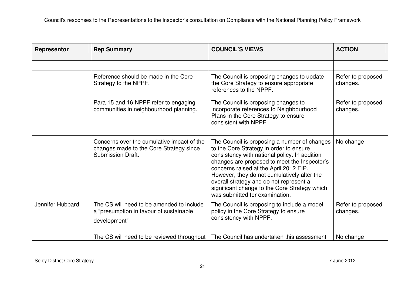| Representor      | <b>Rep Summary</b>                                                                                                | <b>COUNCIL'S VIEWS</b>                                                                                                                                                                                                                                                                                                                                                                                          | <b>ACTION</b>                 |
|------------------|-------------------------------------------------------------------------------------------------------------------|-----------------------------------------------------------------------------------------------------------------------------------------------------------------------------------------------------------------------------------------------------------------------------------------------------------------------------------------------------------------------------------------------------------------|-------------------------------|
|                  |                                                                                                                   |                                                                                                                                                                                                                                                                                                                                                                                                                 |                               |
|                  | Reference should be made in the Core<br>Strategy to the NPPF.                                                     | The Council is proposing changes to update<br>the Core Strategy to ensure appropriate<br>references to the NPPF.                                                                                                                                                                                                                                                                                                | Refer to proposed<br>changes. |
|                  | Para 15 and 16 NPPF refer to engaging<br>communities in neighbourhood planning.                                   | The Council is proposing changes to<br>incorporate references to Neighbourhood<br>Plans in the Core Strategy to ensure<br>consistent with NPPF.                                                                                                                                                                                                                                                                 | Refer to proposed<br>changes. |
|                  | Concerns over the cumulative impact of the<br>changes made to the Core Strategy since<br><b>Submission Draft.</b> | The Council is proposing a number of changes<br>to the Core Strategy in order to ensure<br>consistency with national policy. In addition<br>changes are proposed to meet the Inspector's<br>concerns raised at the April 2012 EIP.<br>However, they do not cumulatively alter the<br>overall strategy and do not represent a<br>significant change to the Core Strategy which<br>was submitted for examination. | No change                     |
| Jennifer Hubbard | The CS will need to be amended to include<br>a "presumption in favour of sustainable<br>development"              | The Council is proposing to include a model<br>policy in the Core Strategy to ensure<br>consistency with NPPF.                                                                                                                                                                                                                                                                                                  | Refer to proposed<br>changes. |
|                  |                                                                                                                   | The CS will need to be reviewed throughout   The Council has undertaken this assessment                                                                                                                                                                                                                                                                                                                         | No change                     |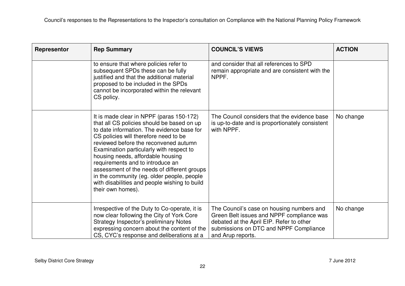| Representor | <b>Rep Summary</b>                                                                                                                                                                                                                                                                                                                                                                                                                                                                                             | <b>COUNCIL'S VIEWS</b>                                                                                                                                                                            | <b>ACTION</b> |
|-------------|----------------------------------------------------------------------------------------------------------------------------------------------------------------------------------------------------------------------------------------------------------------------------------------------------------------------------------------------------------------------------------------------------------------------------------------------------------------------------------------------------------------|---------------------------------------------------------------------------------------------------------------------------------------------------------------------------------------------------|---------------|
|             | to ensure that where policies refer to<br>subsequent SPDs these can be fully<br>justified and that the additional material<br>proposed to be included in the SPDs<br>cannot be incorporated within the relevant<br>CS policy.                                                                                                                                                                                                                                                                                  | and consider that all references to SPD<br>remain appropriate and are consistent with the<br>NPPF.                                                                                                |               |
|             | It is made clear in NPPF (paras 150-172)<br>that all CS policies should be based on up<br>to date information. The evidence base for<br>CS policies will therefore need to be<br>reviewed before the reconvened autumn<br>Examination particularly with respect to<br>housing needs, affordable housing<br>requirements and to introduce an<br>assessment of the needs of different groups<br>in the community (eg. older people, people<br>with disabilities and people wishing to build<br>their own homes). | The Council considers that the evidence base<br>is up-to-date and is proportionately consistent<br>with NPPF.                                                                                     | No change     |
|             | Irrespective of the Duty to Co-operate, it is<br>now clear following the City of York Core<br><b>Strategy Inspector's preliminary Notes</b><br>expressing concern about the content of the<br>CS, CYC's response and deliberations at a                                                                                                                                                                                                                                                                        | The Council's case on housing numbers and<br>Green Belt issues and NPPF compliance was<br>debated at the April EIP. Refer to other<br>submissions on DTC and NPPF Compliance<br>and Arup reports. | No change     |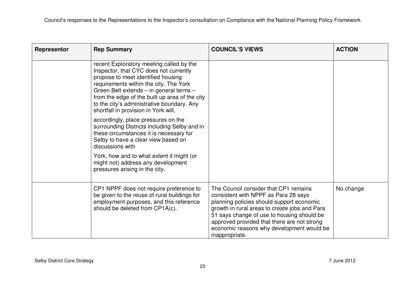| Representor | <b>Rep Summary</b>                                                                                                                                                                                                                                                                                                                                    | <b>COUNCIL'S VIEWS</b>                                                                                                                                                                                                                                                                                                                  | <b>ACTION</b> |
|-------------|-------------------------------------------------------------------------------------------------------------------------------------------------------------------------------------------------------------------------------------------------------------------------------------------------------------------------------------------------------|-----------------------------------------------------------------------------------------------------------------------------------------------------------------------------------------------------------------------------------------------------------------------------------------------------------------------------------------|---------------|
|             | recent Exploratory meeting called by the<br>Inspector, that CYC does not currently<br>propose to meet identified housing<br>requirements within the city. The York<br>Green Belt extends - in general terms -<br>from the edge of the built up area of the city<br>to the city's administrative boundary. Any<br>shortfall in provision in York will, |                                                                                                                                                                                                                                                                                                                                         |               |
|             | accordingly, place pressures on the<br>surrounding Districts including Selby and in<br>these circumstances it is necessary for<br>Selby to have a clear view based on<br>discussions with                                                                                                                                                             |                                                                                                                                                                                                                                                                                                                                         |               |
|             | York, how and to what extent it might (or<br>might not) address any development<br>pressures arising in the city.                                                                                                                                                                                                                                     |                                                                                                                                                                                                                                                                                                                                         |               |
|             | CP1 NPPF does not require preference to<br>be given to the reuse of rural buildings for<br>employment purposes, and this reference<br>should be deleted from CP1A(c).                                                                                                                                                                                 | The Council consider that CP1 remains<br>consistent with NPPF as Para 28 says<br>planning policies should support economic<br>growth in rural areas to create jobs and Para<br>51 says change of use to housing should be<br>approved provided that there are not strong<br>economic reasons why development would be<br>inappropriate. | No change     |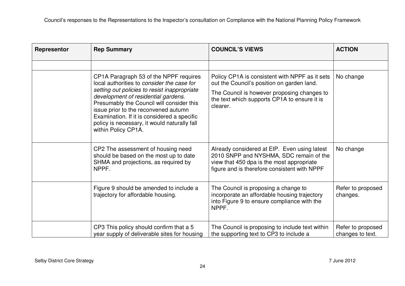| Representor | <b>Rep Summary</b>                                                                                                                                                                                                                                                                                                                                                                     | <b>COUNCIL'S VIEWS</b>                                                                                                                                                                                  | <b>ACTION</b>                         |
|-------------|----------------------------------------------------------------------------------------------------------------------------------------------------------------------------------------------------------------------------------------------------------------------------------------------------------------------------------------------------------------------------------------|---------------------------------------------------------------------------------------------------------------------------------------------------------------------------------------------------------|---------------------------------------|
|             |                                                                                                                                                                                                                                                                                                                                                                                        |                                                                                                                                                                                                         |                                       |
|             | CP1A Paragraph 53 of the NPPF requires<br>local authorities to consider the case for<br>setting out policies to resist inappropriate<br>development of residential gardens.<br>Presumably the Council will consider this<br>issue prior to the reconvened autumn<br>Examination. If it is considered a specific<br>policy is necessary, it would naturally fall<br>within Policy CP1A. | Policy CP1A is consistent with NPPF as it sets<br>out the Council's position on garden land.<br>The Council is however proposing changes to<br>the text which supports CP1A to ensure it is<br>clearer. | No change                             |
|             | CP2 The assessment of housing need<br>should be based on the most up to date<br>SHMA and projections, as required by<br>NPPF.                                                                                                                                                                                                                                                          | Already considered at EIP. Even using latest<br>2010 SNPP and NYSHMA, SDC remain of the<br>view that 450 dpa is the most appropriate<br>figure and is therefore consistent with NPPF                    | No change                             |
|             | Figure 9 should be amended to include a<br>trajectory for affordable housing.                                                                                                                                                                                                                                                                                                          | The Council is proposing a change to<br>incorporate an affordable housing trajectory<br>into Figure 9 to ensure compliance with the<br>NPPF.                                                            | Refer to proposed<br>changes.         |
|             | CP3 This policy should confirm that a 5<br>year supply of deliverable sites for housing                                                                                                                                                                                                                                                                                                | The Council is proposing to include text within<br>the supporting text to CP3 to include a                                                                                                              | Refer to proposed<br>changes to text. |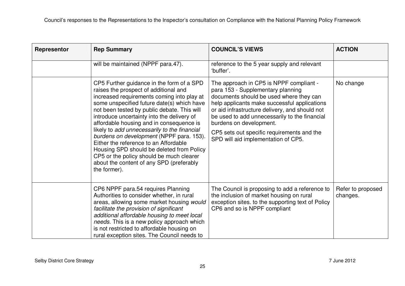| Representor | <b>Rep Summary</b>                                                                                                                                                                                                                                                                                                                                                                                                                                                                                                                                                                                                | <b>COUNCIL'S VIEWS</b>                                                                                                                                                                                                                                                                                                                                                                     | <b>ACTION</b>                 |
|-------------|-------------------------------------------------------------------------------------------------------------------------------------------------------------------------------------------------------------------------------------------------------------------------------------------------------------------------------------------------------------------------------------------------------------------------------------------------------------------------------------------------------------------------------------------------------------------------------------------------------------------|--------------------------------------------------------------------------------------------------------------------------------------------------------------------------------------------------------------------------------------------------------------------------------------------------------------------------------------------------------------------------------------------|-------------------------------|
|             | will be maintained (NPPF para.47).                                                                                                                                                                                                                                                                                                                                                                                                                                                                                                                                                                                | reference to the 5 year supply and relevant<br>'buffer'.                                                                                                                                                                                                                                                                                                                                   |                               |
|             | CP5 Further guidance in the form of a SPD<br>raises the prospect of additional and<br>increased requirements coming into play at<br>some unspecified future date(s) which have<br>not been tested by public debate. This will<br>introduce uncertainty into the delivery of<br>affordable housing and in consequence is<br>likely to add unnecessarily to the financial<br>burdens on development (NPPF para. 153).<br>Either the reference to an Affordable<br>Housing SPD should be deleted from Policy<br>CP5 or the policy should be much clearer<br>about the content of any SPD (preferably<br>the former). | The approach in CP5 is NPPF compliant -<br>para 153 - Supplementary planning<br>documents should be used where they can<br>help applicants make successful applications<br>or aid infrastructure delivery, and should not<br>be used to add unnecessarily to the financial<br>burdens on development.<br>CP5 sets out specific requirements and the<br>SPD will aid implementation of CP5. | No change                     |
|             | CP6 NPPF para.54 requires Planning<br>Authorities to consider whether, in rural<br>areas, allowing some market housing would<br>facilitate the provision of significant<br>additional affordable housing to meet local<br>needs. This is a new policy approach which<br>is not restricted to affordable housing on<br>rural exception sites. The Council needs to                                                                                                                                                                                                                                                 | The Council is proposing to add a reference to<br>the inclusion of market housing on rural<br>exception sites. to the supporting text of Policy<br>CP6 and so is NPPF compliant                                                                                                                                                                                                            | Refer to proposed<br>changes. |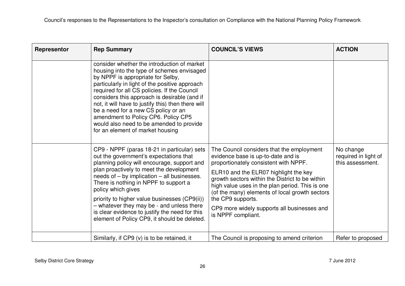| Representor | <b>Rep Summary</b>                                                                                                                                                                                                                                                                                                                                                                                                                                                                                   | <b>COUNCIL'S VIEWS</b>                                                                                                                                                                                                                                                                                                                                                                                              | <b>ACTION</b>                                         |
|-------------|------------------------------------------------------------------------------------------------------------------------------------------------------------------------------------------------------------------------------------------------------------------------------------------------------------------------------------------------------------------------------------------------------------------------------------------------------------------------------------------------------|---------------------------------------------------------------------------------------------------------------------------------------------------------------------------------------------------------------------------------------------------------------------------------------------------------------------------------------------------------------------------------------------------------------------|-------------------------------------------------------|
|             | consider whether the introduction of market<br>housing into the type of schemes envisaged<br>by NPPF is appropriate for Selby,<br>particularly in light of the positive approach<br>required for all CS policies. If the Council<br>considers this approach is desirable (and if<br>not, it will have to justify this) then there will<br>be a need for a new CS policy or an<br>amendment to Policy CP6. Policy CP5<br>would also need to be amended to provide<br>for an element of market housing |                                                                                                                                                                                                                                                                                                                                                                                                                     |                                                       |
|             | CP9 - NPPF (paras 18-21 in particular) sets<br>out the government's expectations that<br>planning policy will encourage, support and<br>plan proactively to meet the development<br>needs of $-$ by implication $-$ all businesses.<br>There is nothing in NPPF to support a<br>policy which gives<br>priority to higher value businesses (CP9(ii))<br>- whatever they may be - and unless there<br>is clear evidence to justify the need for this<br>element of Policy CP9, it should be deleted.   | The Council considers that the employment<br>evidence base is up-to-date and is<br>proportionately consistent with NPPF.<br>ELR10 and the ELR07 highlight the key<br>growth sectors within the District to be within<br>high value uses in the plan period. This is one<br>(of the many) elements of local growth sectors<br>the CP9 supports.<br>CP9 more widely supports all businesses and<br>is NPPF compliant. | No change<br>required in light of<br>this assessment. |
|             | Similarly, if CP9 (v) is to be retained, it                                                                                                                                                                                                                                                                                                                                                                                                                                                          | The Council is proposing to amend criterion                                                                                                                                                                                                                                                                                                                                                                         | Refer to proposed                                     |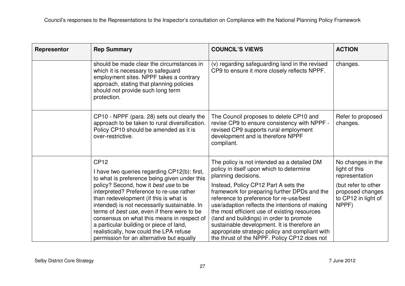| Representor | <b>Rep Summary</b>                                                                                                                                                                                                                                                                                                                                                                                                                                          | <b>COUNCIL'S VIEWS</b>                                                                                                                                                                                                                                                                                                                                                                                                          | <b>ACTION</b>                                                           |
|-------------|-------------------------------------------------------------------------------------------------------------------------------------------------------------------------------------------------------------------------------------------------------------------------------------------------------------------------------------------------------------------------------------------------------------------------------------------------------------|---------------------------------------------------------------------------------------------------------------------------------------------------------------------------------------------------------------------------------------------------------------------------------------------------------------------------------------------------------------------------------------------------------------------------------|-------------------------------------------------------------------------|
|             | should be made clear the circumstances in<br>which it is necessary to safeguard<br>employment sites. NPPF takes a contrary<br>approach, stating that planning policies<br>should not provide such long term<br>protection.                                                                                                                                                                                                                                  | (v) regarding safeguarding land in the revised<br>CP9 to ensure it more closely reflects NPPF.                                                                                                                                                                                                                                                                                                                                  | changes.                                                                |
|             | CP10 - NPPF (para. 28) sets out clearly the<br>approach to be taken to rural diversification.<br>Policy CP10 should be amended as it is<br>over-restrictive.                                                                                                                                                                                                                                                                                                | The Council proposes to delete CP10 and<br>revise CP9 to ensure consistency with NPPF -<br>revised CP9 supports rural employment<br>development and is therefore NPPF<br>compliant.                                                                                                                                                                                                                                             | Refer to proposed<br>changes.                                           |
|             | <b>CP12</b><br>I have two queries regarding CP12(b): first,                                                                                                                                                                                                                                                                                                                                                                                                 | The policy is not intended as a detailed DM<br>policy in itself upon which to determine<br>planning decisions.                                                                                                                                                                                                                                                                                                                  | No changes in the<br>light of this<br>representation                    |
|             | to what is preference being given under this<br>policy? Second, how it best use to be<br>interpreted? Preference to re-use rather<br>than redevelopment (if this is what is<br>intended) is not necessarily sustainable. In<br>terms of best use, even if there were to be<br>consensus on what this means in respect of<br>a particular building or piece of land,<br>realistically, how could the LPA refuse<br>permission for an alternative but equally | Instead, Policy CP12 Part A sets the<br>framework for preparing further DPDs and the<br>reference to preference for re-use/best<br>use/adaption reflects the intentions of making<br>the most efficient use of existing resources<br>(land and buildings) in order to promote<br>sustainable development. It is therefore an<br>appropriate strategic policy and compliant with<br>the thrust of the NPPF. Policy CP12 does not | (but refer to other<br>proposed changes<br>to CP12 in light of<br>NPPF) |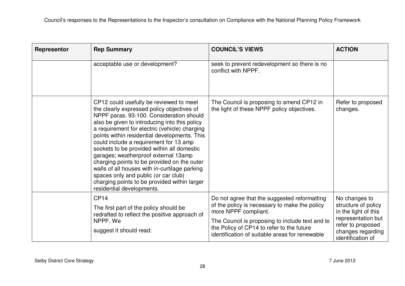| Representor | <b>Rep Summary</b>                                                                                                                                                                                                                                                                                                                                                                                                                                                                                                                                                                                                                       | <b>COUNCIL'S VIEWS</b>                                                                                                                                                                                                                                                  | <b>ACTION</b>                                                                                                                                     |
|-------------|------------------------------------------------------------------------------------------------------------------------------------------------------------------------------------------------------------------------------------------------------------------------------------------------------------------------------------------------------------------------------------------------------------------------------------------------------------------------------------------------------------------------------------------------------------------------------------------------------------------------------------------|-------------------------------------------------------------------------------------------------------------------------------------------------------------------------------------------------------------------------------------------------------------------------|---------------------------------------------------------------------------------------------------------------------------------------------------|
|             | acceptable use or development?                                                                                                                                                                                                                                                                                                                                                                                                                                                                                                                                                                                                           | seek to prevent redevelopment so there is no<br>conflict with NPPF.                                                                                                                                                                                                     |                                                                                                                                                   |
|             | CP12 could usefully be reviewed to meet<br>the clearly expressed policy objectives of<br>NPPF paras. 93-100. Consideration should<br>also be given to introducing into this policy<br>a requirement for electric (vehicle) charging<br>points within residential developments. This<br>could include a requirement for 13 amp<br>sockets to be provided within all domestic<br>garages; weatherproof external 13amp<br>charging points to be provided on the outer<br>walls of all houses with in-curtilage parking<br>spaces only and public (or car club)<br>charging points to be provided within larger<br>residential developments. | The Council is proposing to amend CP12 in<br>the light of these NPPF policy objectives.                                                                                                                                                                                 | Refer to proposed<br>changes.                                                                                                                     |
|             | CP <sub>14</sub><br>The first part of the policy should be<br>redrafted to reflect the positive approach of<br>NPPF, We<br>suggest it should read:                                                                                                                                                                                                                                                                                                                                                                                                                                                                                       | Do not agree that the suggested reformatting<br>of the policy is necessary to make the policy<br>more NPPF compliant.<br>The Council is proposing to include text and to<br>the Policy of CP14 to refer to the future<br>identification of suitable areas for renewable | No changes to<br>structure of policy<br>in the light of this<br>representation but<br>refer to proposed<br>changes regarding<br>identification of |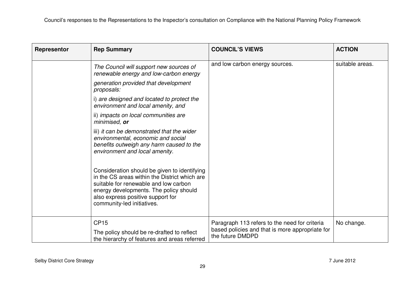| Representor | <b>Rep Summary</b>                                                                                                                                                                                                                                  | <b>COUNCIL'S VIEWS</b>                                                                                               | <b>ACTION</b>   |
|-------------|-----------------------------------------------------------------------------------------------------------------------------------------------------------------------------------------------------------------------------------------------------|----------------------------------------------------------------------------------------------------------------------|-----------------|
|             | The Council will support new sources of<br>renewable energy and low-carbon energy                                                                                                                                                                   | and low carbon energy sources.                                                                                       | suitable areas. |
|             | generation provided that development<br>proposals:                                                                                                                                                                                                  |                                                                                                                      |                 |
|             | i) are designed and located to protect the<br>environment and local amenity, and                                                                                                                                                                    |                                                                                                                      |                 |
|             | ii) impacts on local communities are<br>minimised, or                                                                                                                                                                                               |                                                                                                                      |                 |
|             | iii) it can be demonstrated that the wider<br>environmental, economic and social<br>benefits outweigh any harm caused to the<br>environment and local amenity.                                                                                      |                                                                                                                      |                 |
|             | Consideration should be given to identifying<br>in the CS areas within the District which are<br>suitable for renewable and low carbon<br>energy developments. The policy should<br>also express positive support for<br>community-led initiatives. |                                                                                                                      |                 |
|             | <b>CP15</b><br>The policy should be re-drafted to reflect<br>the hierarchy of features and areas referred                                                                                                                                           | Paragraph 113 refers to the need for criteria<br>based policies and that is more appropriate for<br>the future DMDPD | No change.      |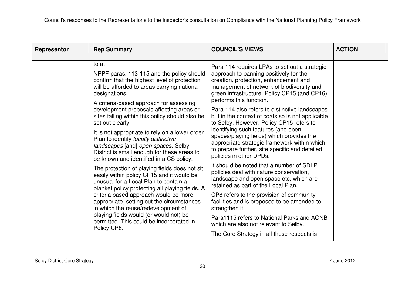| Representor | <b>Rep Summary</b>                                                                                                                                                                                                                                                                                                                                                                                                                                                                                                                                                                                                                                                                                                                                                                                                                                                                  | <b>COUNCIL'S VIEWS</b>                                                                                                                                                                                                                                                                                                                                                                                                                                                                                                                                                                                                                                                                                                                                                                                                                                                                                            | <b>ACTION</b> |
|-------------|-------------------------------------------------------------------------------------------------------------------------------------------------------------------------------------------------------------------------------------------------------------------------------------------------------------------------------------------------------------------------------------------------------------------------------------------------------------------------------------------------------------------------------------------------------------------------------------------------------------------------------------------------------------------------------------------------------------------------------------------------------------------------------------------------------------------------------------------------------------------------------------|-------------------------------------------------------------------------------------------------------------------------------------------------------------------------------------------------------------------------------------------------------------------------------------------------------------------------------------------------------------------------------------------------------------------------------------------------------------------------------------------------------------------------------------------------------------------------------------------------------------------------------------------------------------------------------------------------------------------------------------------------------------------------------------------------------------------------------------------------------------------------------------------------------------------|---------------|
|             | to at<br>NPPF paras. 113-115 and the policy should<br>confirm that the highest level of protection<br>will be afforded to areas carrying national<br>designations.<br>A criteria-based approach for assessing<br>development proposals affecting areas or<br>sites falling within this policy should also be<br>set out clearly.<br>It is not appropriate to rely on a lower order<br>Plan to identify locally distinctive<br>landscapes [and] open spaces. Selby<br>District is small enough for these areas to<br>be known and identified in a CS policy.<br>The protection of playing fields does not sit<br>easily within policy CP15 and it would be<br>unusual for a Local Plan to contain a<br>blanket policy protecting all playing fields. A<br>criteria based approach would be more<br>appropriate, setting out the circumstances<br>in which the reuse/redevelopment of | Para 114 requires LPAs to set out a strategic<br>approach to panning positively for the<br>creation, protection, enhancement and<br>management of network of biodiversity and<br>green infrastructure. Policy CP15 (and CP16)<br>performs this function.<br>Para 114 also refers to distinctive landscapes<br>but in the context of coats so is not applicable<br>to Selby. However, Policy CP15 refers to<br>identifying such features (and open<br>spaces/playing fields) which provides the<br>appropriate strategic framework within which<br>to prepare further, site specific and detailed<br>policies in other DPDs.<br>It should be noted that a number of SDLP<br>policies deal with nature conservation,<br>landscape and open space etc, which are<br>retained as part of the Local Plan.<br>CP8 refers to the provision of community<br>facilities and is proposed to be amended to<br>strengthen it. |               |
|             | playing fields would (or would not) be<br>permitted. This could be incorporated in<br>Policy CP8.                                                                                                                                                                                                                                                                                                                                                                                                                                                                                                                                                                                                                                                                                                                                                                                   | Para1115 refers to National Parks and AONB<br>which are also not relevant to Selby.<br>The Core Strategy in all these respects is                                                                                                                                                                                                                                                                                                                                                                                                                                                                                                                                                                                                                                                                                                                                                                                 |               |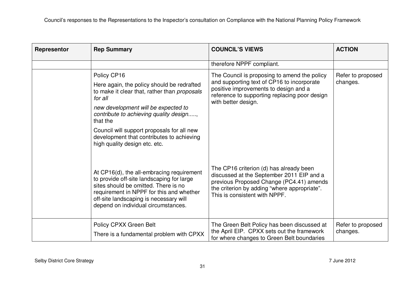| Representor | <b>Rep Summary</b>                                                                                                                                                                                                                                                                                                                             | <b>COUNCIL'S VIEWS</b>                                                                                                                                                                                            | <b>ACTION</b>                 |
|-------------|------------------------------------------------------------------------------------------------------------------------------------------------------------------------------------------------------------------------------------------------------------------------------------------------------------------------------------------------|-------------------------------------------------------------------------------------------------------------------------------------------------------------------------------------------------------------------|-------------------------------|
|             |                                                                                                                                                                                                                                                                                                                                                | therefore NPPF compliant.                                                                                                                                                                                         |                               |
|             | Policy CP16<br>Here again, the policy should be redrafted<br>to make it clear that, rather than proposals<br>for all<br>new development will be expected to<br>contribute to achieving quality design,<br>that the<br>Council will support proposals for all new<br>development that contributes to achieving<br>high quality design etc. etc. | The Council is proposing to amend the policy<br>and supporting text of CP16 to incorporate<br>positive improvements to design and a<br>reference to supporting replacing poor design<br>with better design.       | Refer to proposed<br>changes. |
|             | At CP16(d), the all-embracing requirement<br>to provide off-site landscaping for large<br>sites should be omitted. There is no<br>requirement in NPPF for this and whether<br>off-site landscaping is necessary will<br>depend on individual circumstances.                                                                                    | The CP16 criterion (d) has already been<br>discussed at the September 2011 EIP and a<br>previous Proposed Change (PC4.41) amends<br>the criterion by adding "where appropriate".<br>This is consistent with NPPF. |                               |
|             | Policy CPXX Green Belt<br>There is a fundamental problem with CPXX                                                                                                                                                                                                                                                                             | The Green Belt Policy has been discussed at<br>the April EIP. CPXX sets out the framework<br>for where changes to Green Belt boundaries                                                                           | Refer to proposed<br>changes. |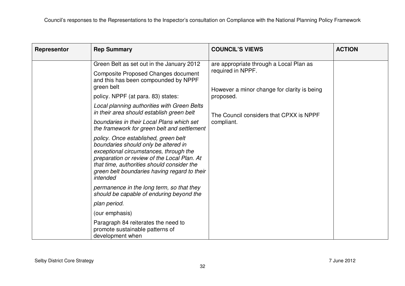| Representor                                                                                      | <b>Rep Summary</b>                                                                                                                                                                                                                                                              | <b>COUNCIL'S VIEWS</b>                  | <b>ACTION</b> |
|--------------------------------------------------------------------------------------------------|---------------------------------------------------------------------------------------------------------------------------------------------------------------------------------------------------------------------------------------------------------------------------------|-----------------------------------------|---------------|
|                                                                                                  | Green Belt as set out in the January 2012                                                                                                                                                                                                                                       | are appropriate through a Local Plan as |               |
| <b>Composite Proposed Changes document</b><br>and this has been compounded by NPPF<br>green belt | required in NPPF.<br>However a minor change for clarity is being<br>proposed.                                                                                                                                                                                                   |                                         |               |
|                                                                                                  | policy. NPPF (at para. 83) states:                                                                                                                                                                                                                                              |                                         |               |
|                                                                                                  | Local planning authorities with Green Belts<br>in their area should establish green belt                                                                                                                                                                                        | The Council considers that CPXX is NPPF |               |
|                                                                                                  | boundaries in their Local Plans which set<br>the framework for green belt and settlement                                                                                                                                                                                        | compliant.                              |               |
|                                                                                                  | policy. Once established, green belt<br>boundaries should only be altered in<br>exceptional circumstances, through the<br>preparation or review of the Local Plan. At<br>that time, authorities should consider the<br>green belt boundaries having regard to their<br>intended |                                         |               |
|                                                                                                  | permanence in the long term, so that they<br>should be capable of enduring beyond the                                                                                                                                                                                           |                                         |               |
|                                                                                                  | plan period.                                                                                                                                                                                                                                                                    |                                         |               |
|                                                                                                  | (our emphasis)                                                                                                                                                                                                                                                                  |                                         |               |
|                                                                                                  | Paragraph 84 reiterates the need to<br>promote sustainable patterns of<br>development when                                                                                                                                                                                      |                                         |               |